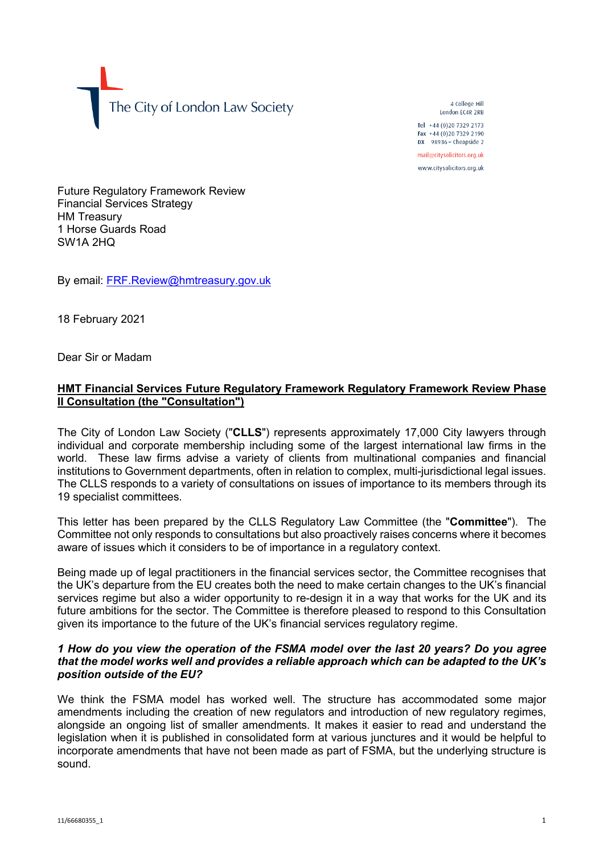The City of London Law Society

4 College Hill London FC4R 2RB

Tel +44 (0)20 7329 2173 Fax +44 (0)20 7329 2190 DX  $98936$  - Cheapside 2 mail@citysolicitors.org.uk www.citysolicitors.org.uk

Future Regulatory Framework Review Financial Services Strategy HM Treasury 1 Horse Guards Road SW1A 2HQ

By email: [FRF.Review@hmtreasury.gov.uk](mailto:FRF.Review@hmtreasury.gov.uk)

18 February 2021

Dear Sir or Madam

# **HMT Financial Services Future Regulatory Framework Regulatory Framework Review Phase II Consultation (the "Consultation")**

The City of London Law Society ("**CLLS**") represents approximately 17,000 City lawyers through individual and corporate membership including some of the largest international law firms in the world. These law firms advise a variety of clients from multinational companies and financial institutions to Government departments, often in relation to complex, multi-jurisdictional legal issues. The CLLS responds to a variety of consultations on issues of importance to its members through its 19 specialist committees.

This letter has been prepared by the CLLS Regulatory Law Committee (the "**Committee**"). The Committee not only responds to consultations but also proactively raises concerns where it becomes aware of issues which it considers to be of importance in a regulatory context.

Being made up of legal practitioners in the financial services sector, the Committee recognises that the UK's departure from the EU creates both the need to make certain changes to the UK's financial services regime but also a wider opportunity to re-design it in a way that works for the UK and its future ambitions for the sector. The Committee is therefore pleased to respond to this Consultation given its importance to the future of the UK's financial services regulatory regime.

## *1 How do you view the operation of the FSMA model over the last 20 years? Do you agree that the model works well and provides a reliable approach which can be adapted to the UK's position outside of the EU?*

We think the FSMA model has worked well. The structure has accommodated some major amendments including the creation of new regulators and introduction of new regulatory regimes, alongside an ongoing list of smaller amendments. It makes it easier to read and understand the legislation when it is published in consolidated form at various junctures and it would be helpful to incorporate amendments that have not been made as part of FSMA, but the underlying structure is sound.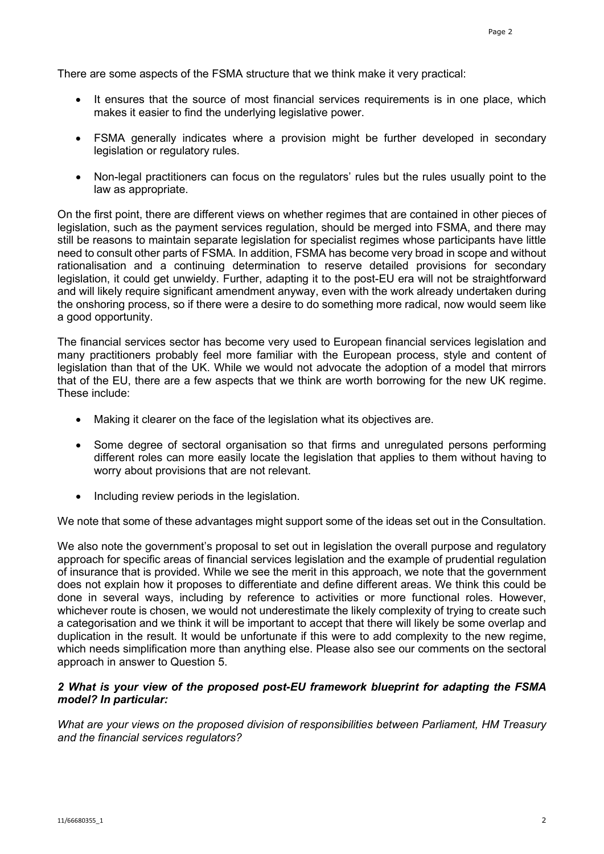There are some aspects of the FSMA structure that we think make it very practical:

- It ensures that the source of most financial services requirements is in one place, which makes it easier to find the underlying legislative power.
- FSMA generally indicates where a provision might be further developed in secondary legislation or regulatory rules.
- Non-legal practitioners can focus on the regulators' rules but the rules usually point to the law as appropriate.

On the first point, there are different views on whether regimes that are contained in other pieces of legislation, such as the payment services regulation, should be merged into FSMA, and there may still be reasons to maintain separate legislation for specialist regimes whose participants have little need to consult other parts of FSMA. In addition, FSMA has become very broad in scope and without rationalisation and a continuing determination to reserve detailed provisions for secondary legislation, it could get unwieldy. Further, adapting it to the post-EU era will not be straightforward and will likely require significant amendment anyway, even with the work already undertaken during the onshoring process, so if there were a desire to do something more radical, now would seem like a good opportunity.

The financial services sector has become very used to European financial services legislation and many practitioners probably feel more familiar with the European process, style and content of legislation than that of the UK. While we would not advocate the adoption of a model that mirrors that of the EU, there are a few aspects that we think are worth borrowing for the new UK regime. These include:

- Making it clearer on the face of the legislation what its objectives are.
- Some degree of sectoral organisation so that firms and unregulated persons performing different roles can more easily locate the legislation that applies to them without having to worry about provisions that are not relevant.
- Including review periods in the legislation.

We note that some of these advantages might support some of the ideas set out in the Consultation.

We also note the government's proposal to set out in legislation the overall purpose and regulatory approach for specific areas of financial services legislation and the example of prudential regulation of insurance that is provided. While we see the merit in this approach, we note that the government does not explain how it proposes to differentiate and define different areas. We think this could be done in several ways, including by reference to activities or more functional roles. However, whichever route is chosen, we would not underestimate the likely complexity of trying to create such a categorisation and we think it will be important to accept that there will likely be some overlap and duplication in the result. It would be unfortunate if this were to add complexity to the new regime, which needs simplification more than anything else. Please also see our comments on the sectoral approach in answer to Question 5.

## *2 What is your view of the proposed post-EU framework blueprint for adapting the FSMA model? In particular:*

*What are your views on the proposed division of responsibilities between Parliament, HM Treasury and the financial services regulators?*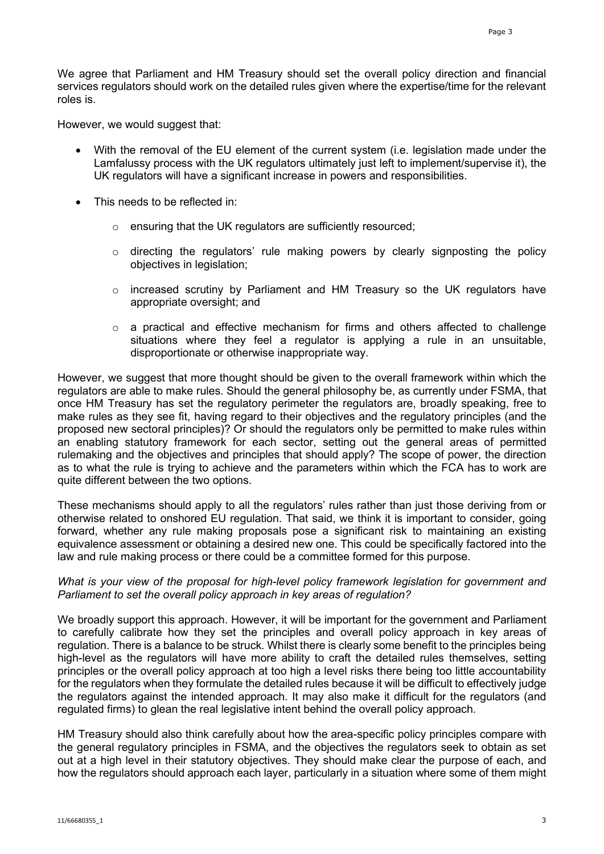We agree that Parliament and HM Treasury should set the overall policy direction and financial services regulators should work on the detailed rules given where the expertise/time for the relevant roles is.

However, we would suggest that:

- With the removal of the EU element of the current system (i.e. legislation made under the Lamfalussy process with the UK regulators ultimately just left to implement/supervise it), the UK regulators will have a significant increase in powers and responsibilities.
- This needs to be reflected in:
	- o ensuring that the UK regulators are sufficiently resourced;
	- $\circ$  directing the regulators' rule making powers by clearly signposting the policy objectives in legislation;
	- $\circ$  increased scrutiny by Parliament and HM Treasury so the UK regulators have appropriate oversight; and
	- o a practical and effective mechanism for firms and others affected to challenge situations where they feel a regulator is applying a rule in an unsuitable, disproportionate or otherwise inappropriate way.

However, we suggest that more thought should be given to the overall framework within which the regulators are able to make rules. Should the general philosophy be, as currently under FSMA, that once HM Treasury has set the regulatory perimeter the regulators are, broadly speaking, free to make rules as they see fit, having regard to their objectives and the regulatory principles (and the proposed new sectoral principles)? Or should the regulators only be permitted to make rules within an enabling statutory framework for each sector, setting out the general areas of permitted rulemaking and the objectives and principles that should apply? The scope of power, the direction as to what the rule is trying to achieve and the parameters within which the FCA has to work are quite different between the two options.

These mechanisms should apply to all the regulators' rules rather than just those deriving from or otherwise related to onshored EU regulation. That said, we think it is important to consider, going forward, whether any rule making proposals pose a significant risk to maintaining an existing equivalence assessment or obtaining a desired new one. This could be specifically factored into the law and rule making process or there could be a committee formed for this purpose.

#### *What is your view of the proposal for high-level policy framework legislation for government and Parliament to set the overall policy approach in key areas of regulation?*

We broadly support this approach. However, it will be important for the government and Parliament to carefully calibrate how they set the principles and overall policy approach in key areas of regulation. There is a balance to be struck. Whilst there is clearly some benefit to the principles being high-level as the regulators will have more ability to craft the detailed rules themselves, setting principles or the overall policy approach at too high a level risks there being too little accountability for the regulators when they formulate the detailed rules because it will be difficult to effectively judge the regulators against the intended approach. It may also make it difficult for the regulators (and regulated firms) to glean the real legislative intent behind the overall policy approach.

HM Treasury should also think carefully about how the area-specific policy principles compare with the general regulatory principles in FSMA, and the objectives the regulators seek to obtain as set out at a high level in their statutory objectives. They should make clear the purpose of each, and how the regulators should approach each layer, particularly in a situation where some of them might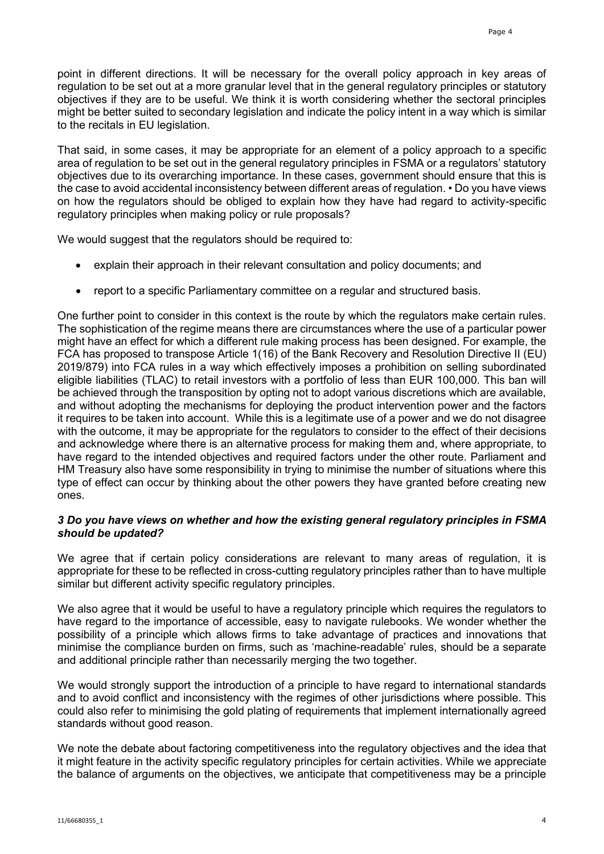point in different directions. It will be necessary for the overall policy approach in key areas of regulation to be set out at a more granular level that in the general regulatory principles or statutory objectives if they are to be useful. We think it is worth considering whether the sectoral principles might be better suited to secondary legislation and indicate the policy intent in a way which is similar to the recitals in EU legislation.

That said, in some cases, it may be appropriate for an element of a policy approach to a specific area of regulation to be set out in the general regulatory principles in FSMA or a regulators' statutory objectives due to its overarching importance. In these cases, government should ensure that this is the case to avoid accidental inconsistency between different areas of regulation. • Do you have views on how the regulators should be obliged to explain how they have had regard to activity-specific regulatory principles when making policy or rule proposals?

We would suggest that the regulators should be required to:

- explain their approach in their relevant consultation and policy documents; and
- report to a specific Parliamentary committee on a regular and structured basis.

One further point to consider in this context is the route by which the regulators make certain rules. The sophistication of the regime means there are circumstances where the use of a particular power might have an effect for which a different rule making process has been designed. For example, the FCA has proposed to transpose Article 1(16) of the Bank Recovery and Resolution Directive II (EU) 2019/879) into FCA rules in a way which effectively imposes a prohibition on selling subordinated eligible liabilities (TLAC) to retail investors with a portfolio of less than EUR 100,000. This ban will be achieved through the transposition by opting not to adopt various discretions which are available, and without adopting the mechanisms for deploying the product intervention power and the factors it requires to be taken into account. While this is a legitimate use of a power and we do not disagree with the outcome, it may be appropriate for the regulators to consider to the effect of their decisions and acknowledge where there is an alternative process for making them and, where appropriate, to have regard to the intended objectives and required factors under the other route. Parliament and HM Treasury also have some responsibility in trying to minimise the number of situations where this type of effect can occur by thinking about the other powers they have granted before creating new ones.

### *3 Do you have views on whether and how the existing general regulatory principles in FSMA should be updated?*

We agree that if certain policy considerations are relevant to many areas of regulation, it is appropriate for these to be reflected in cross-cutting regulatory principles rather than to have multiple similar but different activity specific regulatory principles.

We also agree that it would be useful to have a regulatory principle which requires the regulators to have regard to the importance of accessible, easy to navigate rulebooks. We wonder whether the possibility of a principle which allows firms to take advantage of practices and innovations that minimise the compliance burden on firms, such as 'machine-readable' rules, should be a separate and additional principle rather than necessarily merging the two together.

We would strongly support the introduction of a principle to have regard to international standards and to avoid conflict and inconsistency with the regimes of other jurisdictions where possible. This could also refer to minimising the gold plating of requirements that implement internationally agreed standards without good reason.

We note the debate about factoring competitiveness into the regulatory objectives and the idea that it might feature in the activity specific regulatory principles for certain activities. While we appreciate the balance of arguments on the objectives, we anticipate that competitiveness may be a principle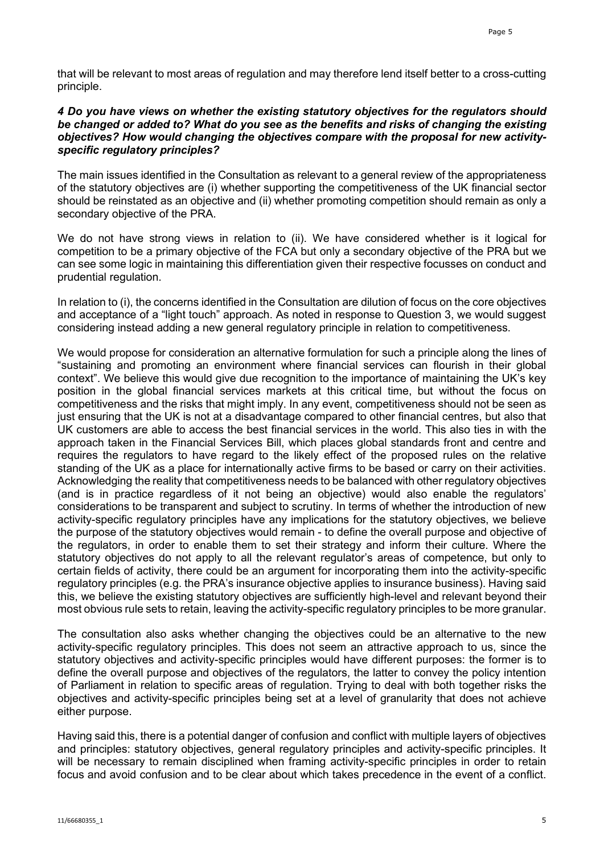that will be relevant to most areas of regulation and may therefore lend itself better to a cross-cutting principle.

### *4 Do you have views on whether the existing statutory objectives for the regulators should be changed or added to? What do you see as the benefits and risks of changing the existing objectives? How would changing the objectives compare with the proposal for new activityspecific regulatory principles?*

The main issues identified in the Consultation as relevant to a general review of the appropriateness of the statutory objectives are (i) whether supporting the competitiveness of the UK financial sector should be reinstated as an objective and (ii) whether promoting competition should remain as only a secondary objective of the PRA.

We do not have strong views in relation to (ii). We have considered whether is it logical for competition to be a primary objective of the FCA but only a secondary objective of the PRA but we can see some logic in maintaining this differentiation given their respective focusses on conduct and prudential regulation.

In relation to (i), the concerns identified in the Consultation are dilution of focus on the core objectives and acceptance of a "light touch" approach. As noted in response to Question 3, we would suggest considering instead adding a new general regulatory principle in relation to competitiveness.

We would propose for consideration an alternative formulation for such a principle along the lines of "sustaining and promoting an environment where financial services can flourish in their global context". We believe this would give due recognition to the importance of maintaining the UK's key position in the global financial services markets at this critical time, but without the focus on competitiveness and the risks that might imply. In any event, competitiveness should not be seen as just ensuring that the UK is not at a disadvantage compared to other financial centres, but also that UK customers are able to access the best financial services in the world. This also ties in with the approach taken in the Financial Services Bill, which places global standards front and centre and requires the regulators to have regard to the likely effect of the proposed rules on the relative standing of the UK as a place for internationally active firms to be based or carry on their activities. Acknowledging the reality that competitiveness needs to be balanced with other regulatory objectives (and is in practice regardless of it not being an objective) would also enable the regulators' considerations to be transparent and subject to scrutiny. In terms of whether the introduction of new activity-specific regulatory principles have any implications for the statutory objectives, we believe the purpose of the statutory objectives would remain - to define the overall purpose and objective of the regulators, in order to enable them to set their strategy and inform their culture. Where the statutory objectives do not apply to all the relevant regulator's areas of competence, but only to certain fields of activity, there could be an argument for incorporating them into the activity-specific regulatory principles (e.g. the PRA's insurance objective applies to insurance business). Having said this, we believe the existing statutory objectives are sufficiently high-level and relevant beyond their most obvious rule sets to retain, leaving the activity-specific regulatory principles to be more granular.

The consultation also asks whether changing the objectives could be an alternative to the new activity-specific regulatory principles. This does not seem an attractive approach to us, since the statutory objectives and activity-specific principles would have different purposes: the former is to define the overall purpose and objectives of the regulators, the latter to convey the policy intention of Parliament in relation to specific areas of regulation. Trying to deal with both together risks the objectives and activity-specific principles being set at a level of granularity that does not achieve either purpose.

Having said this, there is a potential danger of confusion and conflict with multiple layers of objectives and principles: statutory objectives, general regulatory principles and activity-specific principles. It will be necessary to remain disciplined when framing activity-specific principles in order to retain focus and avoid confusion and to be clear about which takes precedence in the event of a conflict.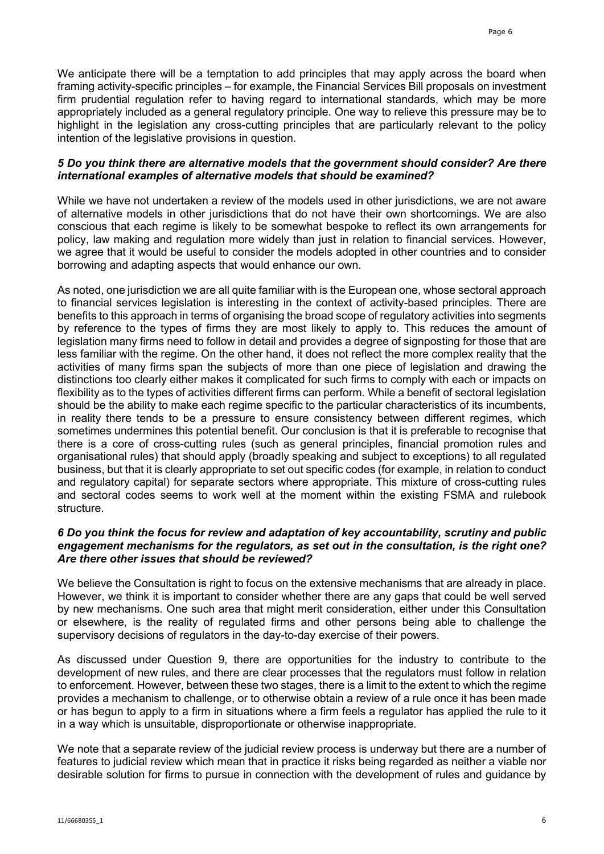We anticipate there will be a temptation to add principles that may apply across the board when framing activity-specific principles – for example, the Financial Services Bill proposals on investment firm prudential regulation refer to having regard to international standards, which may be more appropriately included as a general regulatory principle. One way to relieve this pressure may be to highlight in the legislation any cross-cutting principles that are particularly relevant to the policy intention of the legislative provisions in question.

## *5 Do you think there are alternative models that the government should consider? Are there international examples of alternative models that should be examined?*

While we have not undertaken a review of the models used in other jurisdictions, we are not aware of alternative models in other jurisdictions that do not have their own shortcomings. We are also conscious that each regime is likely to be somewhat bespoke to reflect its own arrangements for policy, law making and regulation more widely than just in relation to financial services. However, we agree that it would be useful to consider the models adopted in other countries and to consider borrowing and adapting aspects that would enhance our own.

As noted, one jurisdiction we are all quite familiar with is the European one, whose sectoral approach to financial services legislation is interesting in the context of activity-based principles. There are benefits to this approach in terms of organising the broad scope of regulatory activities into segments by reference to the types of firms they are most likely to apply to. This reduces the amount of legislation many firms need to follow in detail and provides a degree of signposting for those that are less familiar with the regime. On the other hand, it does not reflect the more complex reality that the activities of many firms span the subjects of more than one piece of legislation and drawing the distinctions too clearly either makes it complicated for such firms to comply with each or impacts on flexibility as to the types of activities different firms can perform. While a benefit of sectoral legislation should be the ability to make each regime specific to the particular characteristics of its incumbents, in reality there tends to be a pressure to ensure consistency between different regimes, which sometimes undermines this potential benefit. Our conclusion is that it is preferable to recognise that there is a core of cross-cutting rules (such as general principles, financial promotion rules and organisational rules) that should apply (broadly speaking and subject to exceptions) to all regulated business, but that it is clearly appropriate to set out specific codes (for example, in relation to conduct and regulatory capital) for separate sectors where appropriate. This mixture of cross-cutting rules and sectoral codes seems to work well at the moment within the existing FSMA and rulebook structure.

## *6 Do you think the focus for review and adaptation of key accountability, scrutiny and public engagement mechanisms for the regulators, as set out in the consultation, is the right one? Are there other issues that should be reviewed?*

We believe the Consultation is right to focus on the extensive mechanisms that are already in place. However, we think it is important to consider whether there are any gaps that could be well served by new mechanisms. One such area that might merit consideration, either under this Consultation or elsewhere, is the reality of regulated firms and other persons being able to challenge the supervisory decisions of regulators in the day-to-day exercise of their powers.

As discussed under Question 9, there are opportunities for the industry to contribute to the development of new rules, and there are clear processes that the regulators must follow in relation to enforcement. However, between these two stages, there is a limit to the extent to which the regime provides a mechanism to challenge, or to otherwise obtain a review of a rule once it has been made or has begun to apply to a firm in situations where a firm feels a regulator has applied the rule to it in a way which is unsuitable, disproportionate or otherwise inappropriate.

We note that a separate review of the judicial review process is underway but there are a number of features to judicial review which mean that in practice it risks being regarded as neither a viable nor desirable solution for firms to pursue in connection with the development of rules and guidance by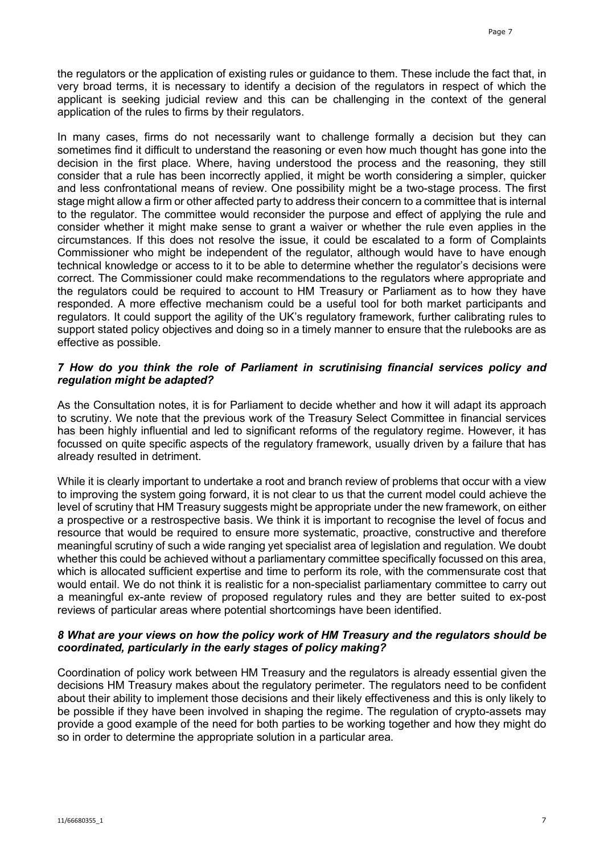the regulators or the application of existing rules or guidance to them. These include the fact that, in very broad terms, it is necessary to identify a decision of the regulators in respect of which the applicant is seeking judicial review and this can be challenging in the context of the general application of the rules to firms by their regulators.

In many cases, firms do not necessarily want to challenge formally a decision but they can sometimes find it difficult to understand the reasoning or even how much thought has gone into the decision in the first place. Where, having understood the process and the reasoning, they still consider that a rule has been incorrectly applied, it might be worth considering a simpler, quicker and less confrontational means of review. One possibility might be a two-stage process. The first stage might allow a firm or other affected party to address their concern to a committee that is internal to the regulator. The committee would reconsider the purpose and effect of applying the rule and consider whether it might make sense to grant a waiver or whether the rule even applies in the circumstances. If this does not resolve the issue, it could be escalated to a form of Complaints Commissioner who might be independent of the regulator, although would have to have enough technical knowledge or access to it to be able to determine whether the regulator's decisions were correct. The Commissioner could make recommendations to the regulators where appropriate and the regulators could be required to account to HM Treasury or Parliament as to how they have responded. A more effective mechanism could be a useful tool for both market participants and regulators. It could support the agility of the UK's regulatory framework, further calibrating rules to support stated policy objectives and doing so in a timely manner to ensure that the rulebooks are as effective as possible.

### *7 How do you think the role of Parliament in scrutinising financial services policy and regulation might be adapted?*

As the Consultation notes, it is for Parliament to decide whether and how it will adapt its approach to scrutiny. We note that the previous work of the Treasury Select Committee in financial services has been highly influential and led to significant reforms of the regulatory regime. However, it has focussed on quite specific aspects of the regulatory framework, usually driven by a failure that has already resulted in detriment.

While it is clearly important to undertake a root and branch review of problems that occur with a view to improving the system going forward, it is not clear to us that the current model could achieve the level of scrutiny that HM Treasury suggests might be appropriate under the new framework, on either a prospective or a restrospective basis. We think it is important to recognise the level of focus and resource that would be required to ensure more systematic, proactive, constructive and therefore meaningful scrutiny of such a wide ranging yet specialist area of legislation and regulation. We doubt whether this could be achieved without a parliamentary committee specifically focussed on this area, which is allocated sufficient expertise and time to perform its role, with the commensurate cost that would entail. We do not think it is realistic for a non-specialist parliamentary committee to carry out a meaningful ex-ante review of proposed regulatory rules and they are better suited to ex-post reviews of particular areas where potential shortcomings have been identified.

### *8 What are your views on how the policy work of HM Treasury and the regulators should be coordinated, particularly in the early stages of policy making?*

Coordination of policy work between HM Treasury and the regulators is already essential given the decisions HM Treasury makes about the regulatory perimeter. The regulators need to be confident about their ability to implement those decisions and their likely effectiveness and this is only likely to be possible if they have been involved in shaping the regime. The regulation of crypto-assets may provide a good example of the need for both parties to be working together and how they might do so in order to determine the appropriate solution in a particular area.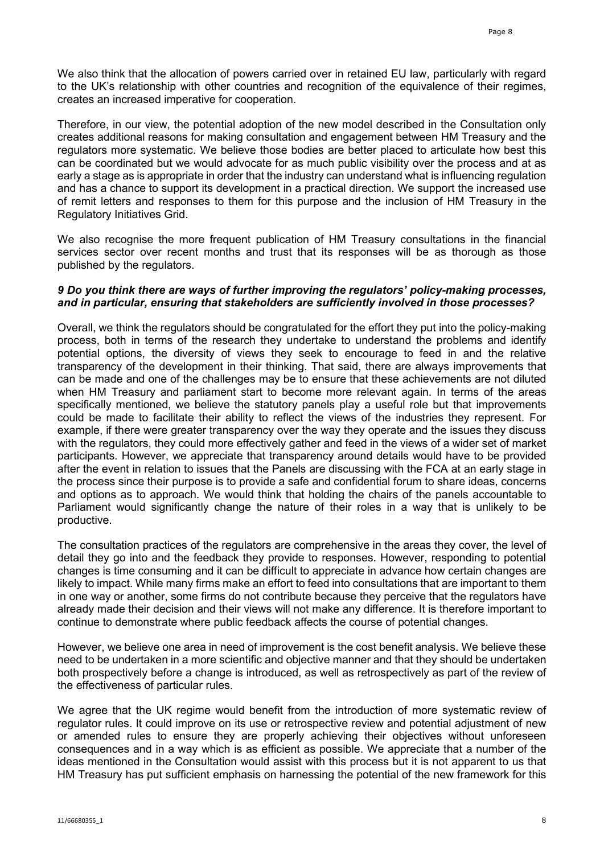We also think that the allocation of powers carried over in retained EU law, particularly with regard to the UK's relationship with other countries and recognition of the equivalence of their regimes, creates an increased imperative for cooperation.

Therefore, in our view, the potential adoption of the new model described in the Consultation only creates additional reasons for making consultation and engagement between HM Treasury and the regulators more systematic. We believe those bodies are better placed to articulate how best this can be coordinated but we would advocate for as much public visibility over the process and at as early a stage as is appropriate in order that the industry can understand what is influencing regulation and has a chance to support its development in a practical direction. We support the increased use of remit letters and responses to them for this purpose and the inclusion of HM Treasury in the Regulatory Initiatives Grid.

We also recognise the more frequent publication of HM Treasury consultations in the financial services sector over recent months and trust that its responses will be as thorough as those published by the regulators.

#### *9 Do you think there are ways of further improving the regulators' policy-making processes, and in particular, ensuring that stakeholders are sufficiently involved in those processes?*

Overall, we think the regulators should be congratulated for the effort they put into the policy-making process, both in terms of the research they undertake to understand the problems and identify potential options, the diversity of views they seek to encourage to feed in and the relative transparency of the development in their thinking. That said, there are always improvements that can be made and one of the challenges may be to ensure that these achievements are not diluted when HM Treasury and parliament start to become more relevant again. In terms of the areas specifically mentioned, we believe the statutory panels play a useful role but that improvements could be made to facilitate their ability to reflect the views of the industries they represent. For example, if there were greater transparency over the way they operate and the issues they discuss with the regulators, they could more effectively gather and feed in the views of a wider set of market participants. However, we appreciate that transparency around details would have to be provided after the event in relation to issues that the Panels are discussing with the FCA at an early stage in the process since their purpose is to provide a safe and confidential forum to share ideas, concerns and options as to approach. We would think that holding the chairs of the panels accountable to Parliament would significantly change the nature of their roles in a way that is unlikely to be productive.

The consultation practices of the regulators are comprehensive in the areas they cover, the level of detail they go into and the feedback they provide to responses. However, responding to potential changes is time consuming and it can be difficult to appreciate in advance how certain changes are likely to impact. While many firms make an effort to feed into consultations that are important to them in one way or another, some firms do not contribute because they perceive that the regulators have already made their decision and their views will not make any difference. It is therefore important to continue to demonstrate where public feedback affects the course of potential changes.

However, we believe one area in need of improvement is the cost benefit analysis. We believe these need to be undertaken in a more scientific and objective manner and that they should be undertaken both prospectively before a change is introduced, as well as retrospectively as part of the review of the effectiveness of particular rules.

We agree that the UK regime would benefit from the introduction of more systematic review of regulator rules. It could improve on its use or retrospective review and potential adjustment of new or amended rules to ensure they are properly achieving their objectives without unforeseen consequences and in a way which is as efficient as possible. We appreciate that a number of the ideas mentioned in the Consultation would assist with this process but it is not apparent to us that HM Treasury has put sufficient emphasis on harnessing the potential of the new framework for this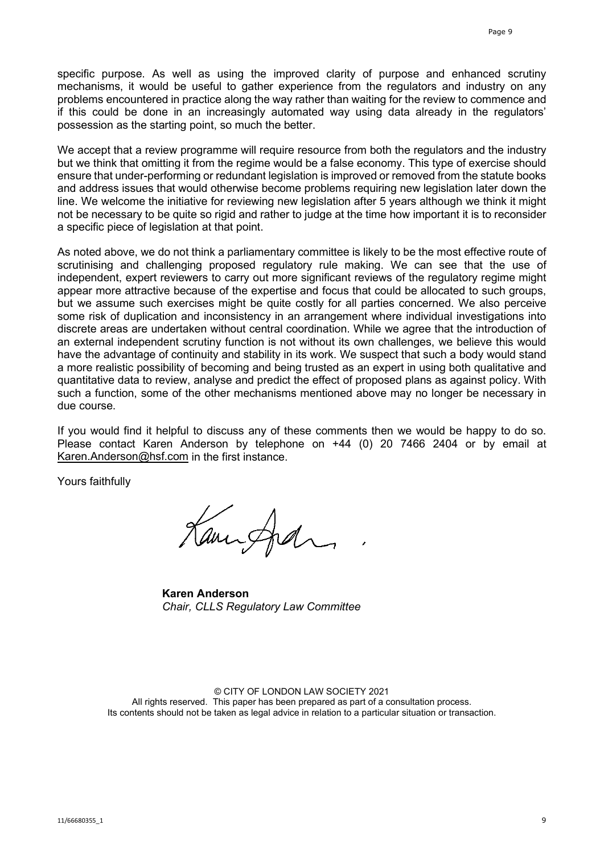specific purpose. As well as using the improved clarity of purpose and enhanced scrutiny mechanisms, it would be useful to gather experience from the regulators and industry on any problems encountered in practice along the way rather than waiting for the review to commence and if this could be done in an increasingly automated way using data already in the regulators' possession as the starting point, so much the better.

We accept that a review programme will require resource from both the regulators and the industry but we think that omitting it from the regime would be a false economy. This type of exercise should ensure that under-performing or redundant legislation is improved or removed from the statute books and address issues that would otherwise become problems requiring new legislation later down the line. We welcome the initiative for reviewing new legislation after 5 years although we think it might not be necessary to be quite so rigid and rather to judge at the time how important it is to reconsider a specific piece of legislation at that point.

As noted above, we do not think a parliamentary committee is likely to be the most effective route of scrutinising and challenging proposed regulatory rule making. We can see that the use of independent, expert reviewers to carry out more significant reviews of the regulatory regime might appear more attractive because of the expertise and focus that could be allocated to such groups, but we assume such exercises might be quite costly for all parties concerned. We also perceive some risk of duplication and inconsistency in an arrangement where individual investigations into discrete areas are undertaken without central coordination. While we agree that the introduction of an external independent scrutiny function is not without its own challenges, we believe this would have the advantage of continuity and stability in its work. We suspect that such a body would stand a more realistic possibility of becoming and being trusted as an expert in using both qualitative and quantitative data to review, analyse and predict the effect of proposed plans as against policy. With such a function, some of the other mechanisms mentioned above may no longer be necessary in due course.

If you would find it helpful to discuss any of these comments then we would be happy to do so. Please contact Karen Anderson by telephone on +44 (0) 20 7466 2404 or by email at [Karen.Anderson@hsf.com](mailto:Karen.Anderson@hsf.com) in the first instance.

Yours faithfully

Kamingfran

**Karen Anderson** *Chair, CLLS Regulatory Law Committee*

© CITY OF LONDON LAW SOCIETY 2021 All rights reserved. This paper has been prepared as part of a consultation process. Its contents should not be taken as legal advice in relation to a particular situation or transaction.